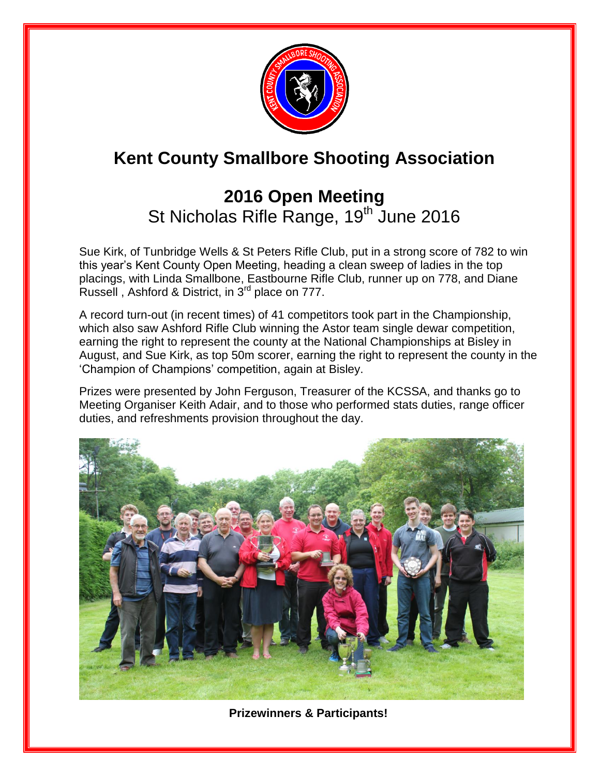

# **Kent County Smallbore Shooting Association**

## **2016 Open Meeting**  St Nicholas Rifle Range, 19<sup>th</sup> June 2016

Sue Kirk, of Tunbridge Wells & St Peters Rifle Club, put in a strong score of 782 to win this year's Kent County Open Meeting, heading a clean sweep of ladies in the top placings, with Linda Smallbone, Eastbourne Rifle Club, runner up on 778, and Diane Russell , Ashford & District, in 3rd place on 777.

A record turn-out (in recent times) of 41 competitors took part in the Championship, which also saw Ashford Rifle Club winning the Astor team single dewar competition, earning the right to represent the county at the National Championships at Bisley in August, and Sue Kirk, as top 50m scorer, earning the right to represent the county in the 'Champion of Champions' competition, again at Bisley.

Prizes were presented by John Ferguson, Treasurer of the KCSSA, and thanks go to Meeting Organiser Keith Adair, and to those who performed stats duties, range officer duties, and refreshments provision throughout the day.



**Prizewinners & Participants!**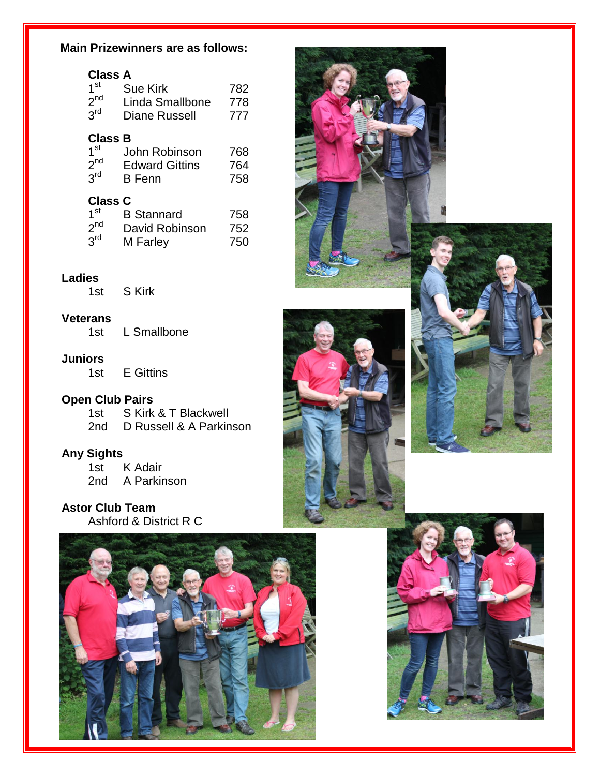#### **Main Prizewinners are as follows:**

| <b>Class A</b><br>1 <sup>st</sup><br>2 <sup>nd</sup><br>3 <sup>rd</sup> | Sue Kirk<br>Linda Smallbone<br>Diane Russell            | 782<br>778<br>777 |
|-------------------------------------------------------------------------|---------------------------------------------------------|-------------------|
| Class B<br>1 <sup>st</sup><br>2 <sup>nd</sup><br>3 <sup>rd</sup>        | John Robinson<br><b>Edward Gittins</b><br><b>B</b> Fenn | 768<br>764<br>758 |
| <b>Class C</b><br>1 <sup>st</sup><br>2 <sup>nd</sup><br>3 <sup>rd</sup> | <b>B</b> Stannard<br>David Robinson<br>M Farley         | 758<br>752<br>750 |

#### **Ladies**

1st S Kirk

#### **Veterans**

1st L Smallbone

#### **Juniors**

1st E Gittins

#### **Open Club Pairs**

1st S Kirk & T Blackwell 2nd D Russell & A Parkinson

#### **Any Sights**

1st K Adair 2nd A Parkinson

**Astor Club Team** Ashford & District R C





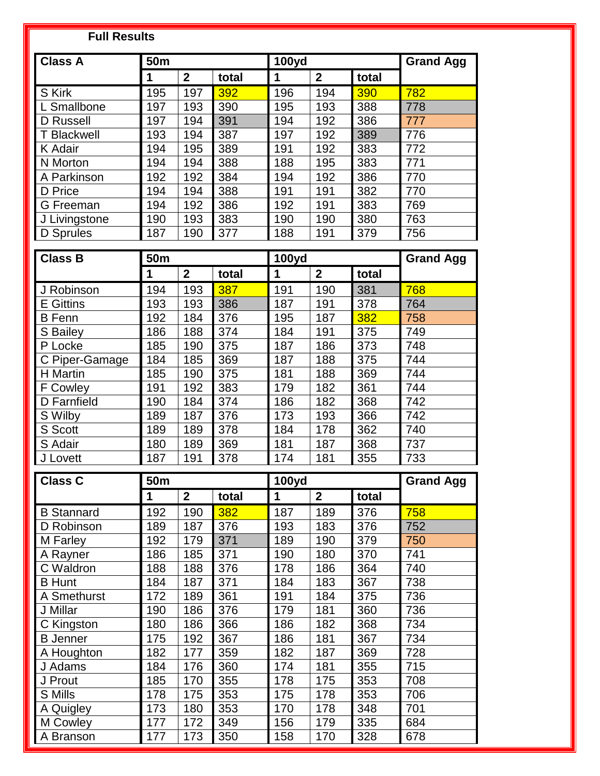| <b>Full Results</b> |                     |                         |              |                  |                |                  |                  |
|---------------------|---------------------|-------------------------|--------------|------------------|----------------|------------------|------------------|
| <b>Class A</b>      | 50 <sub>m</sub>     |                         | <b>100yd</b> |                  |                | <b>Grand Agg</b> |                  |
|                     | 1                   | $\overline{2}$          | total        | 1                | $\overline{2}$ | total            |                  |
| S Kirk              | 195                 | 197                     | 392          | 196              | 194            | 390              | 782              |
| L Smallbone         | 197                 | 193                     | 390          | 195              | 193            | 388              | 778              |
| D Russell           | 197                 | 194                     | 391          | 194              | 192            | 386              | 777              |
| <b>T Blackwell</b>  | 193                 | 194                     | 387          | 197              | 192            | 389              | 776              |
| K Adair             | 194                 | 195                     | 389          | 191              | 192            | 383              | 772              |
| N Morton            | 194                 | 194                     | 388          | 188              | 195            | 383              | 771              |
| A Parkinson         | 192                 | 192                     | 384          | 194              | 192            | 386              | 770              |
| D Price             | 194                 | 194                     | 388          | 191              | 191            | 382              | 770              |
| G Freeman           | 194                 | 192                     | 386          | 192              | 191            | 383              | 769              |
| J Livingstone       | 190                 | 193                     | 383          | 190              | 190            | 380              | 763              |
| D Sprules           | 187                 | 190                     | 377          | 188              | 191            | 379              | 756              |
|                     |                     |                         |              |                  |                |                  |                  |
| <b>Class B</b>      | 50m                 |                         |              | <b>100yd</b>     |                |                  | <b>Grand Agg</b> |
|                     | 1                   | $\overline{2}$          | total        | 1                | $\mathbf{2}$   | total            |                  |
| J Robinson          | 194                 | 193                     | 387          | 191              | 190            | 381              | 768              |
| <b>E</b> Gittins    | 193                 | 193                     | 386          | 187              | 191            | 378              | 764              |
| <b>B</b> Fenn       | 192                 | 184                     | 376          | 195              | 187            | 382              | 758              |
| S Bailey            | 186                 | 188                     | 374          | 184              | 191            | 375              | 749              |
| P Locke             | 185                 | 190                     | 375          | 187              | 186            | 373              | 748              |
| C Piper-Gamage      | 184                 | 185                     | 369          | 187              | 188            | 375              | 744              |
| H Martin            | 185                 | 190                     | 375          | 181              | 188            | 369              | 744              |
| <b>F</b> Cowley     | 191                 | 192                     | 383          | 179              | 182            | 361              | 744              |
| D Farnfield         | 190                 | 184                     | 374          | 186              | 182            | 368              | 742              |
| S Wilby             | 189                 | 187                     | 376          | 173              | 193            | 366              | 742              |
| S Scott<br>S Adair  | 189<br>180          | 189<br>189              | 378<br>369   | 184<br>181       | 178<br>187     | 362<br>368       | 740<br>737       |
| J Lovett            | 187                 | 191                     | 378          | 174              | 181            | 355              | 733              |
|                     |                     |                         |              |                  |                |                  |                  |
| <b>Class C</b>      | 50m<br><b>100yd</b> |                         |              | <b>Grand Agg</b> |                |                  |                  |
|                     | 1                   | $\overline{\mathbf{2}}$ | total        | 1                | $\mathbf{2}$   | total            |                  |
| <b>B</b> Stannard   | 192                 | 190                     | 382          | 187              | 189            | 376              | 758              |
| D Robinson          | 189                 | 187                     | 376          | 193              | 183            | 376              | 752              |
| M Farley            | 192                 | 179                     | 371          | 189              | 190            | 379              | 750              |
| A Rayner            | 186                 | 185                     | 371          | 190              | 180            | 370              | 741              |
| C Waldron           | 188                 | 188                     | 376          | 178              | 186            | 364              | 740              |
| <b>B</b> Hunt       | 184                 | 187                     | 371          | 184              | 183            | 367              | 738              |
| A Smethurst         | 172                 | 189                     | 361          | 191              | 184            | 375              | 736              |
| J Millar            | 190                 | 186                     | 376          | 179              | 181            | 360              | 736              |
| C Kingston          | 180                 | 186                     | 366          | 186              | 182            | 368              | 734              |
| <b>B</b> Jenner     | 175                 | 192                     | 367          | 186              | 181            | 367              | 734              |
| A Houghton          | 182                 | 177                     | 359          | 182              | 187            | 369              | 728              |
| J Adams             | 184                 | 176                     | 360          | 174              | 181            | 355              | 715              |
| J Prout             | 185                 | 170                     | 355          | 178              | 175            | 353              | 708              |
| S Mills             | 178                 | 175                     | 353          | 175              | 178            | 353              | 706              |
| A Quigley           | 173                 | 180                     | 353          | 170              | 178            | 348              | 701              |
| M Cowley            | 177                 | 172                     | 349          | 156              | 179            | 335              | 684              |
| A Branson           | 177                 | 173                     | 350          | 158              | 170            | 328              | 678              |